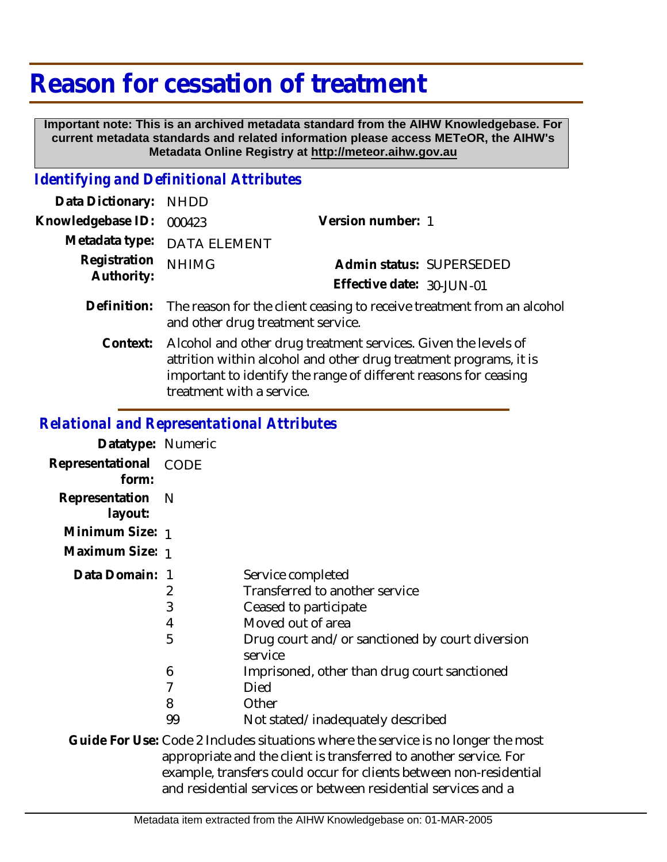# **Reason for cessation of treatment**

 **Important note: This is an archived metadata standard from the AIHW Knowledgebase. For current metadata standards and related information please access METeOR, the AIHW's Metadata Online Registry at http://meteor.aihw.gov.au**

#### *Identifying and Definitional Attributes*

| Data Dictionary: NHDD      |                                                                                                                         |                           |  |
|----------------------------|-------------------------------------------------------------------------------------------------------------------------|---------------------------|--|
| Knowledgebase ID:          | 000423                                                                                                                  | Version number: 1         |  |
|                            | Metadata type: DATA ELEMENT                                                                                             |                           |  |
| Registration<br>Authority: | <b>NHIMG</b>                                                                                                            | Admin status: SUPERSEDED  |  |
|                            |                                                                                                                         | Effective date: 30-JUN-01 |  |
|                            | Definition: The reason for the client ceasing to receive treatment from an alcohol<br>and other drug treatment service. |                           |  |
| Context:                   | Alcohol and other drug treatment services. Given the levels of                                                          |                           |  |

attrition within alcohol and other drug treatment programs, it is important to identify the range of different reasons for ceasing treatment with a service.

### *Relational and Representational Attributes*

| Datatype: Numeric         |      |                                                                                  |
|---------------------------|------|----------------------------------------------------------------------------------|
| Representational<br>form: | CODE |                                                                                  |
| Representation<br>layout: | - N  |                                                                                  |
| Minimum Size: 1           |      |                                                                                  |
| Maximum Size: 1           |      |                                                                                  |
| Data Domain: 1            |      | Service completed                                                                |
|                           | 2    | Transferred to another service                                                   |
|                           | 3    | Ceased to participate                                                            |
|                           | 4    | Moved out of area                                                                |
|                           | 5    | Drug court and/or sanctioned by court diversion<br>service                       |
|                           | 6    | Imprisoned, other than drug court sanctioned                                     |
|                           | 7    | Died                                                                             |
|                           | 8    | Other                                                                            |
|                           | 99   | Not stated/inadequately described                                                |
|                           |      | Guide Eor Use: Code 2 Includes situations where the service is no longer the mos |

Code 2 Includes situations where the service is no longer the most appropriate and the client is transferred to another service. For example, transfers could occur for clients between non-residential and residential services or between residential services and a **Guide For Use:**